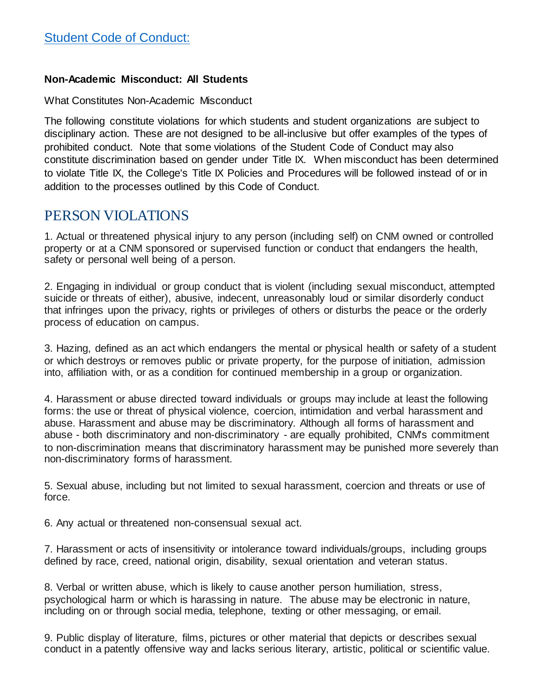#### **Non-Academic Misconduct: All Students**

What Constitutes Non-Academic Misconduct

The following constitute violations for which students and student organizations are subject to disciplinary action. These are not designed to be all-inclusive but offer examples of the types of prohibited conduct. Note that some violations of the Student Code of Conduct may also constitute discrimination based on gender under Title IX. When misconduct has been determined to violate Title IX, the College's Title IX Policies and Procedures will be followed instead of or in addition to the processes outlined by this Code of Conduct.

### PERSON VIOLATIONS

1. Actual or threatened physical injury to any person (including self) on CNM owned or controlled property or at a CNM sponsored or supervised function or conduct that endangers the health, safety or personal well being of a person.

2. Engaging in individual or group conduct that is violent (including sexual misconduct, attempted suicide or threats of either), abusive, indecent, unreasonably loud or similar disorderly conduct that infringes upon the privacy, rights or privileges of others or disturbs the peace or the orderly process of education on campus.

3. Hazing, defined as an act which endangers the mental or physical health or safety of a student or which destroys or removes public or private property, for the purpose of initiation, admission into, affiliation with, or as a condition for continued membership in a group or organization.

4. Harassment or abuse directed toward individuals or groups may include at least the following forms: the use or threat of physical violence, coercion, intimidation and verbal harassment and abuse. Harassment and abuse may be discriminatory. Although all forms of harassment and abuse - both discriminatory and non-discriminatory - are equally prohibited, CNM's commitment to non-discrimination means that discriminatory harassment may be punished more severely than non-discriminatory forms of harassment.

5. Sexual abuse, including but not limited to sexual harassment, coercion and threats or use of force.

6. Any actual or threatened non-consensual sexual act.

7. Harassment or acts of insensitivity or intolerance toward individuals/groups, including groups defined by race, creed, national origin, disability, sexual orientation and veteran status.

8. Verbal or written abuse, which is likely to cause another person humiliation, stress, psychological harm or which is harassing in nature. The abuse may be electronic in nature, including on or through social media, telephone, texting or other messaging, or email.

9. Public display of literature, films, pictures or other material that depicts or describes sexual conduct in a patently offensive way and lacks serious literary, artistic, political or scientific value.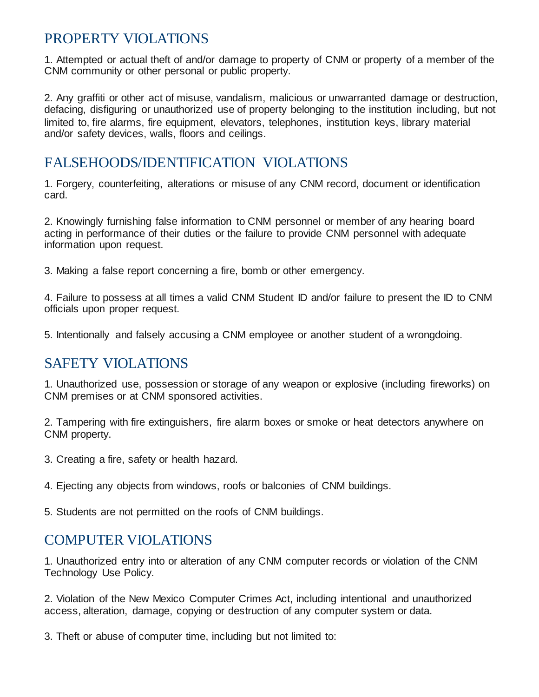# PROPERTY VIOLATIONS

1. Attempted or actual theft of and/or damage to property of CNM or property of a member of the CNM community or other personal or public property.

2. Any graffiti or other act of misuse, vandalism, malicious or unwarranted damage or destruction, defacing, disfiguring or unauthorized use of property belonging to the institution including, but not limited to, fire alarms, fire equipment, elevators, telephones, institution keys, library material and/or safety devices, walls, floors and ceilings.

# FALSEHOODS/IDENTIFICATION VIOLATIONS

1. Forgery, counterfeiting, alterations or misuse of any CNM record, document or identification card.

2. Knowingly furnishing false information to CNM personnel or member of any hearing board acting in performance of their duties or the failure to provide CNM personnel with adequate information upon request.

3. Making a false report concerning a fire, bomb or other emergency.

4. Failure to possess at all times a valid CNM Student ID and/or failure to present the ID to CNM officials upon proper request.

5. Intentionally and falsely accusing a CNM employee or another student of a wrongdoing.

# SAFETY VIOLATIONS

1. Unauthorized use, possession or storage of any weapon or explosive (including fireworks) on CNM premises or at CNM sponsored activities.

2. Tampering with fire extinguishers, fire alarm boxes or smoke or heat detectors anywhere on CNM property.

3. Creating a fire, safety or health hazard.

4. Ejecting any objects from windows, roofs or balconies of CNM buildings.

5. Students are not permitted on the roofs of CNM buildings.

# COMPUTER VIOLATIONS

1. Unauthorized entry into or alteration of any CNM computer records or violation of the CNM Technology Use Policy.

2. Violation of the New Mexico Computer Crimes Act, including intentional and unauthorized access, alteration, damage, copying or destruction of any computer system or data.

3. Theft or abuse of computer time, including but not limited to: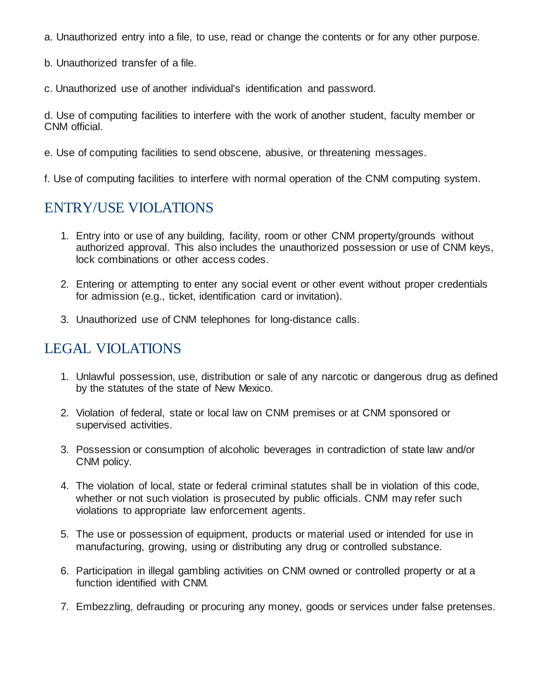- a. Unauthorized entry into a file, to use, read or change the contents or for any other purpose.
- b. Unauthorized transfer of a file.
- c. Unauthorized use of another individual's identification and password.

d. Use of computing facilities to interfere with the work of another student, faculty member or CNM official.

- e. Use of computing facilities to send obscene, abusive, or threatening messages.
- f. Use of computing facilities to interfere with normal operation of the CNM computing system.

### ENTRY/USE VIOLATIONS

- 1. Entry into or use of any building, facility, room or other CNM property/grounds without authorized approval. This also includes the unauthorized possession or use of CNM keys, lock combinations or other access codes.
- 2. Entering or attempting to enter any social event or other event without proper credentials for admission (e.g., ticket, identification card or invitation).
- 3. Unauthorized use of CNM telephones for long-distance calls.

# LEGAL VIOLATIONS

- 1. Unlawful possession, use, distribution or sale of any narcotic or dangerous drug as defined by the statutes of the state of New Mexico.
- 2. Violation of federal, state or local law on CNM premises or at CNM sponsored or supervised activities.
- 3. Possession or consumption of alcoholic beverages in contradiction of state law and/or CNM policy.
- 4. The violation of local, state or federal criminal statutes shall be in violation of this code, whether or not such violation is prosecuted by public officials. CNM may refer such violations to appropriate law enforcement agents.
- 5. The use or possession of equipment, products or material used or intended for use in manufacturing, growing, using or distributing any drug or controlled substance.
- 6. Participation in illegal gambling activities on CNM owned or controlled property or at a function identified with CNM.
- 7. Embezzling, defrauding or procuring any money, goods or services under false pretenses.